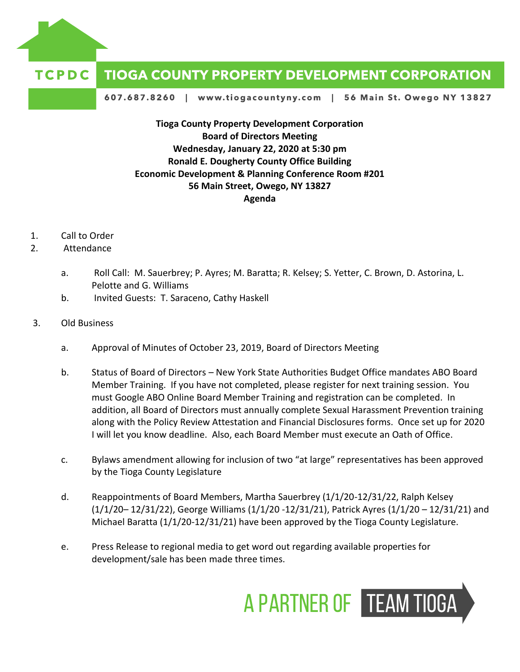

## TCPDC **TIOGA COUNTY PROPERTY DEVELOPMENT CORPORATION**

607.687.8260 | www.tiogacountyny.com | 56 Main St. Owego NY 13827

**Tioga County Property Development Corporation Board of Directors Meeting Wednesday, January 22, 2020 at 5:30 pm Ronald E. Dougherty County Office Building Economic Development & Planning Conference Room #201 56 Main Street, Owego, NY 13827 Agenda**

- 1. Call to Order
- 2. Attendance
	- a. Roll Call: M. Sauerbrey; P. Ayres; M. Baratta; R. Kelsey; S. Yetter, C. Brown, D. Astorina, L. Pelotte and G. Williams
	- b. Invited Guests: T. Saraceno, Cathy Haskell
- 3. Old Business
	- a. Approval of Minutes of October 23, 2019, Board of Directors Meeting
	- b. Status of Board of Directors New York State Authorities Budget Office mandates ABO Board Member Training. If you have not completed, please register for next training session. You must Google ABO Online Board Member Training and registration can be completed. In addition, all Board of Directors must annually complete Sexual Harassment Prevention training along with the Policy Review Attestation and Financial Disclosures forms. Once set up for 2020 I will let you know deadline. Also, each Board Member must execute an Oath of Office.
	- c. Bylaws amendment allowing for inclusion of two "at large" representatives has been approved by the Tioga County Legislature
	- d. Reappointments of Board Members, Martha Sauerbrey (1/1/20-12/31/22, Ralph Kelsey (1/1/20– 12/31/22), George Williams (1/1/20 -12/31/21), Patrick Ayres (1/1/20 – 12/31/21) and Michael Baratta (1/1/20-12/31/21) have been approved by the Tioga County Legislature.
	- e. Press Release to regional media to get word out regarding available properties for development/sale has been made three times.